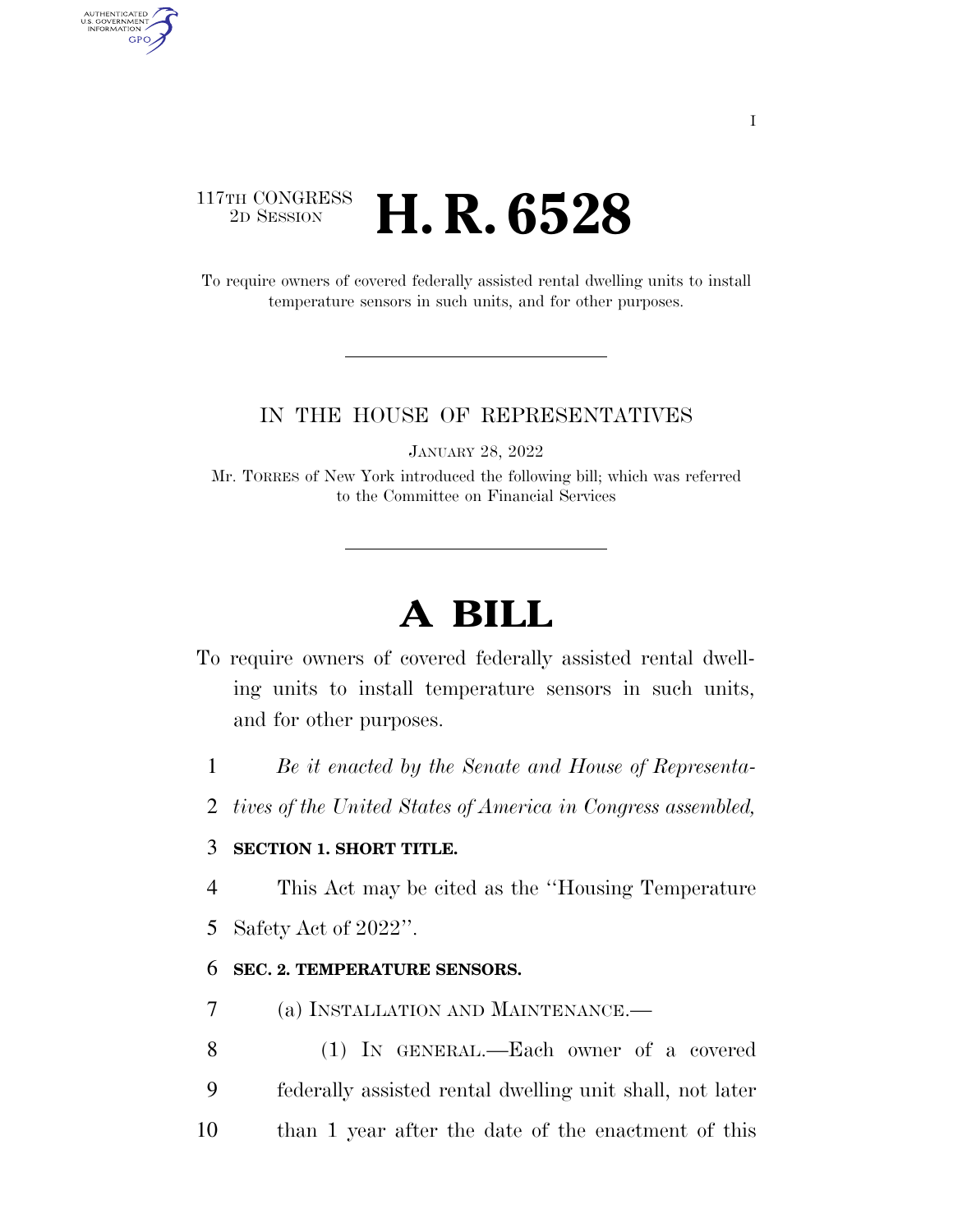## 117TH CONGRESS<br>2D SESSION 2D SESSION **H. R. 6528**

AUTHENTICATED<br>U.S. GOVERNMENT<br>INFORMATION **GPO** 

> To require owners of covered federally assisted rental dwelling units to install temperature sensors in such units, and for other purposes.

### IN THE HOUSE OF REPRESENTATIVES

JANUARY 28, 2022

Mr. TORRES of New York introduced the following bill; which was referred to the Committee on Financial Services

# **A BILL**

- To require owners of covered federally assisted rental dwelling units to install temperature sensors in such units, and for other purposes.
	- 1 *Be it enacted by the Senate and House of Representa-*
	- 2 *tives of the United States of America in Congress assembled,*

### 3 **SECTION 1. SHORT TITLE.**

4 This Act may be cited as the ''Housing Temperature

5 Safety Act of 2022''.

#### 6 **SEC. 2. TEMPERATURE SENSORS.**

- 7 (a) INSTALLATION AND MAINTENANCE.—
- 8 (1) IN GENERAL.—Each owner of a covered 9 federally assisted rental dwelling unit shall, not later 10 than 1 year after the date of the enactment of this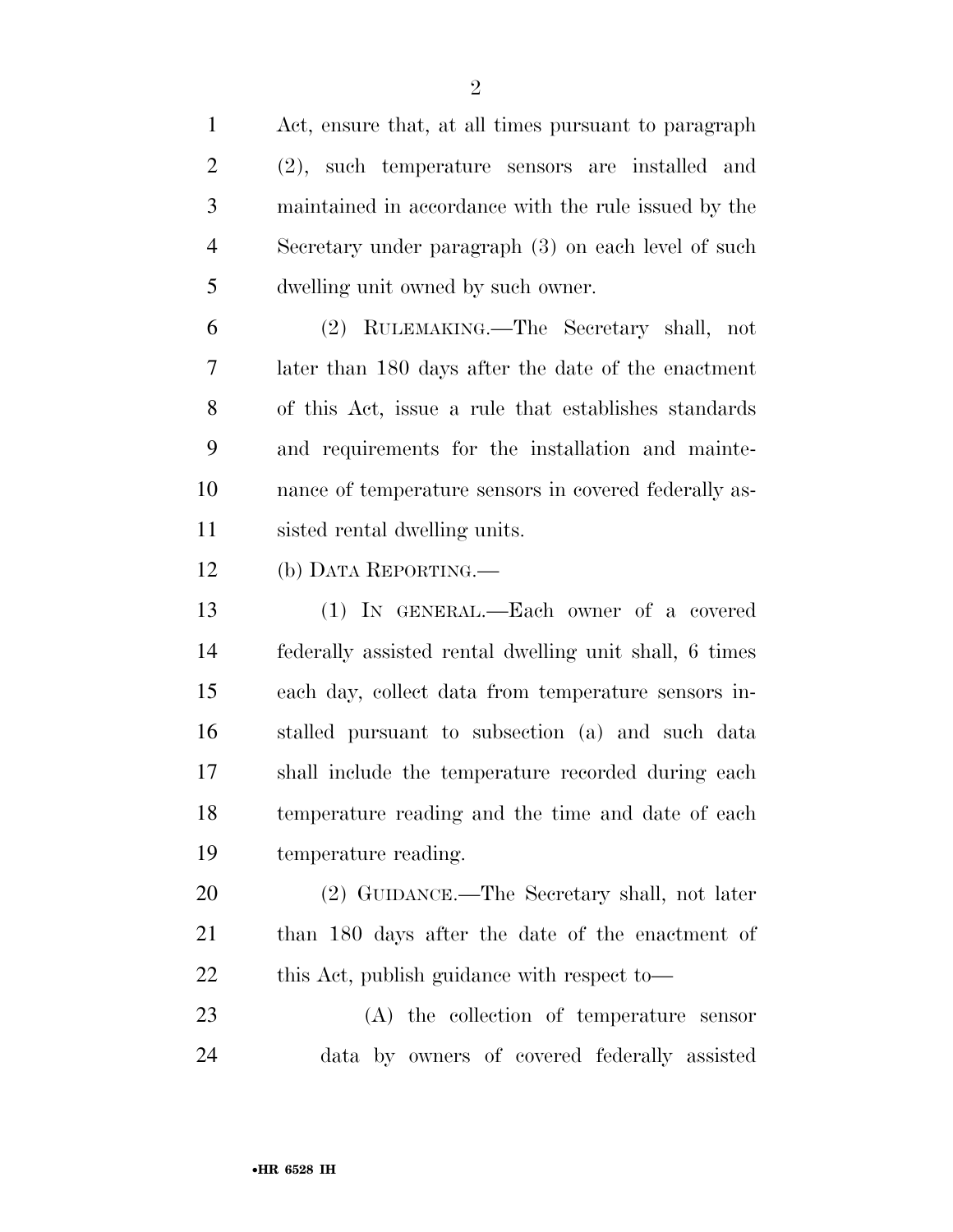Act, ensure that, at all times pursuant to paragraph (2), such temperature sensors are installed and maintained in accordance with the rule issued by the Secretary under paragraph (3) on each level of such dwelling unit owned by such owner.

 (2) RULEMAKING.—The Secretary shall, not later than 180 days after the date of the enactment of this Act, issue a rule that establishes standards and requirements for the installation and mainte- nance of temperature sensors in covered federally as-sisted rental dwelling units.

(b) DATA REPORTING.—

 (1) IN GENERAL.—Each owner of a covered federally assisted rental dwelling unit shall, 6 times each day, collect data from temperature sensors in- stalled pursuant to subsection (a) and such data shall include the temperature recorded during each temperature reading and the time and date of each temperature reading.

 (2) GUIDANCE.—The Secretary shall, not later than 180 days after the date of the enactment of 22 this Act, publish guidance with respect to—

 (A) the collection of temperature sensor data by owners of covered federally assisted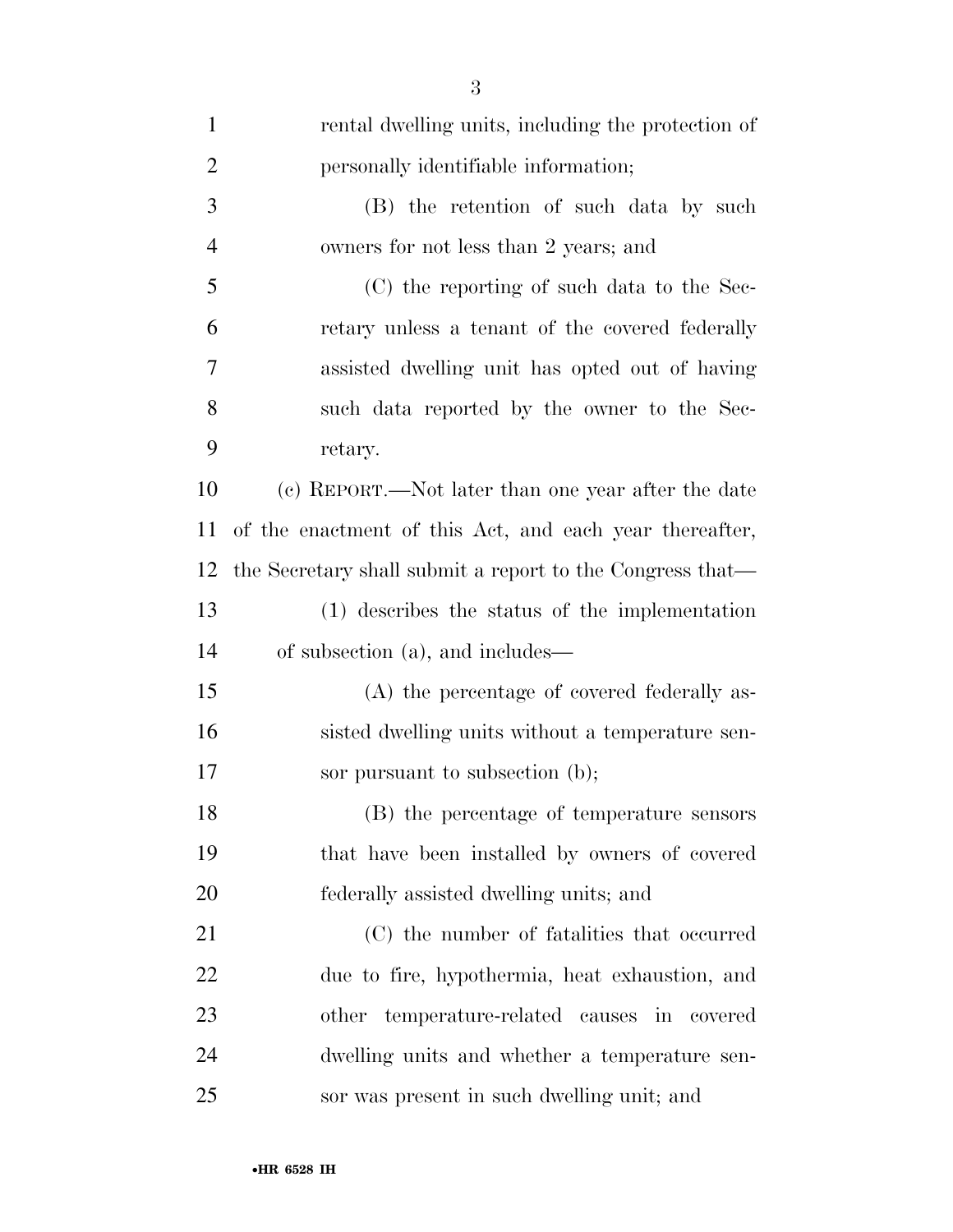| $\mathbf{1}$   | rental dwelling units, including the protection of        |
|----------------|-----------------------------------------------------------|
| $\overline{2}$ | personally identifiable information;                      |
| 3              | (B) the retention of such data by such                    |
| $\overline{4}$ | owners for not less than 2 years; and                     |
| 5              | (C) the reporting of such data to the Sec-                |
| 6              | retary unless a tenant of the covered federally           |
| 7              | assisted dwelling unit has opted out of having            |
| 8              | such data reported by the owner to the Sec-               |
| 9              | retary.                                                   |
| 10             | (c) REPORT.—Not later than one year after the date        |
| 11             | of the enactment of this Act, and each year thereafter,   |
| 12             | the Secretary shall submit a report to the Congress that— |
| 13             | (1) describes the status of the implementation            |
| 14             | of subsection (a), and includes—                          |
| 15             | (A) the percentage of covered federally as-               |
| 16             | sisted dwelling units without a temperature sen-          |
| 17             | sor pursuant to subsection (b);                           |
| 18             | (B) the percentage of temperature sensors                 |
| 19             | that have been installed by owners of covered             |
| 20             | federally assisted dwelling units; and                    |
| 21             | (C) the number of fatalities that occurred                |
| 22             | due to fire, hypothermia, heat exhaustion, and            |
| 23             | other temperature-related causes in covered               |
| 24             | dwelling units and whether a temperature sen-             |
| 25             | sor was present in such dwelling unit; and                |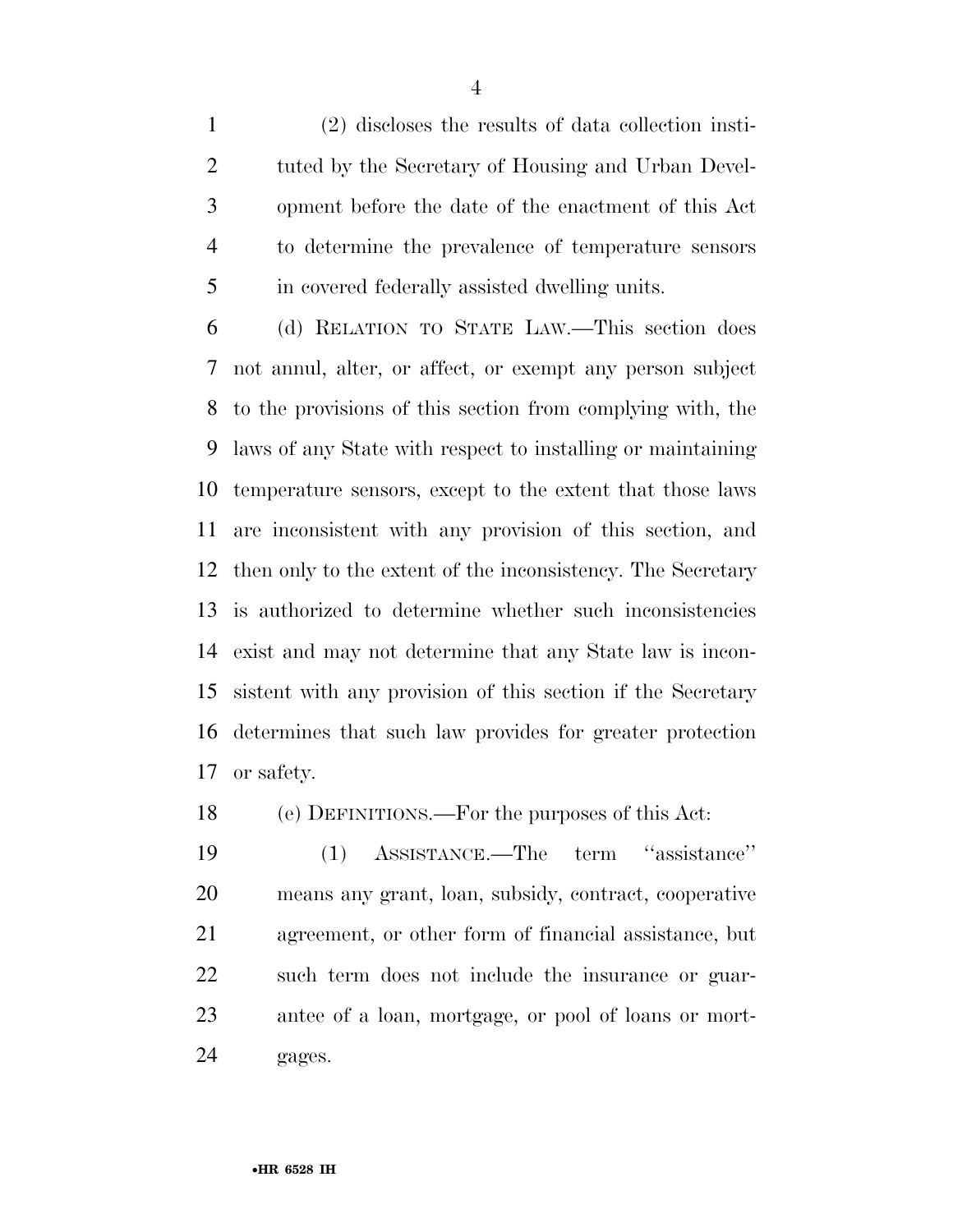(2) discloses the results of data collection insti- tuted by the Secretary of Housing and Urban Devel- opment before the date of the enactment of this Act to determine the prevalence of temperature sensors in covered federally assisted dwelling units.

 (d) RELATION TO STATE LAW.—This section does not annul, alter, or affect, or exempt any person subject to the provisions of this section from complying with, the laws of any State with respect to installing or maintaining temperature sensors, except to the extent that those laws are inconsistent with any provision of this section, and then only to the extent of the inconsistency. The Secretary is authorized to determine whether such inconsistencies exist and may not determine that any State law is incon- sistent with any provision of this section if the Secretary determines that such law provides for greater protection or safety.

(e) DEFINITIONS.—For the purposes of this Act:

 (1) ASSISTANCE.—The term ''assistance'' means any grant, loan, subsidy, contract, cooperative agreement, or other form of financial assistance, but such term does not include the insurance or guar- antee of a loan, mortgage, or pool of loans or mort-gages.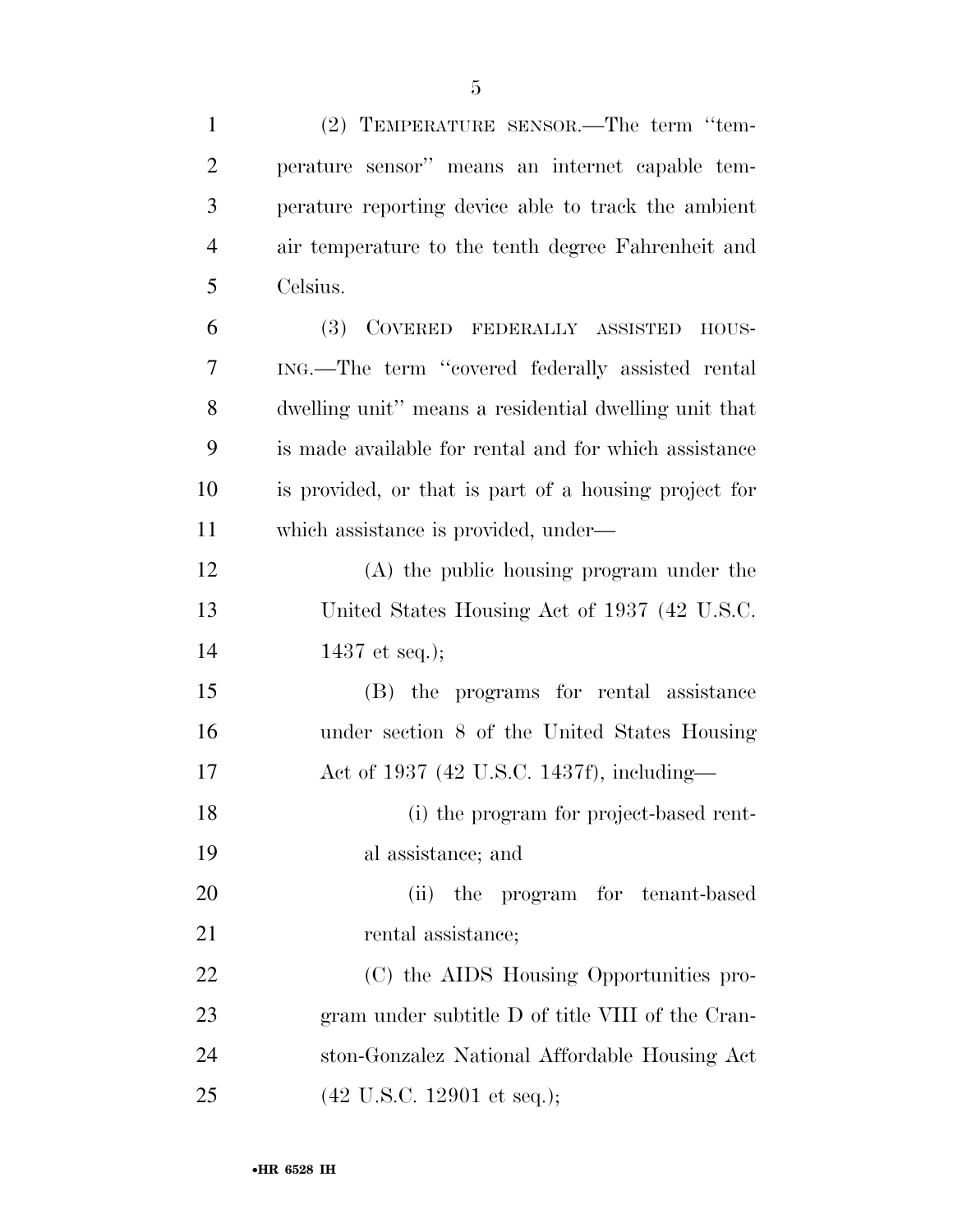| $\mathbf{1}$   | (2) TEMPERATURE SENSOR.—The term "tem-                |
|----------------|-------------------------------------------------------|
| $\overline{2}$ | perature sensor" means an internet capable tem-       |
| 3              | perature reporting device able to track the ambient   |
| $\overline{4}$ | air temperature to the tenth degree Fahrenheit and    |
| 5              | Celsius.                                              |
| 6              | COVERED FEDERALLY ASSISTED<br>(3)<br>HOUS-            |
| 7              | ING.—The term "covered federally assisted rental      |
| 8              | dwelling unit" means a residential dwelling unit that |
| 9              | is made available for rental and for which assistance |
| 10             | is provided, or that is part of a housing project for |
| 11             | which assistance is provided, under—                  |
| 12             | (A) the public housing program under the              |
| 13             | United States Housing Act of 1937 (42 U.S.C.          |
| 14             | 1437 et seq.);                                        |
| 15             | (B) the programs for rental assistance                |
| 16             | under section 8 of the United States Housing          |
| 17             | Act of 1937 (42 U.S.C. 1437f), including—             |
| 18             | (i) the program for project-based rent-               |
| 19             | al assistance; and                                    |
| 20             | (ii)<br>program for tenant-based<br>the               |
| 21             | rental assistance;                                    |
| 22             | (C) the AIDS Housing Opportunities pro-               |
| 23             | gram under subtitle D of title VIII of the Cran-      |
| 24             | ston-Gonzalez National Affordable Housing Act         |
| 25             | $(42 \text{ U.S.C. } 12901 \text{ et seq.});$         |